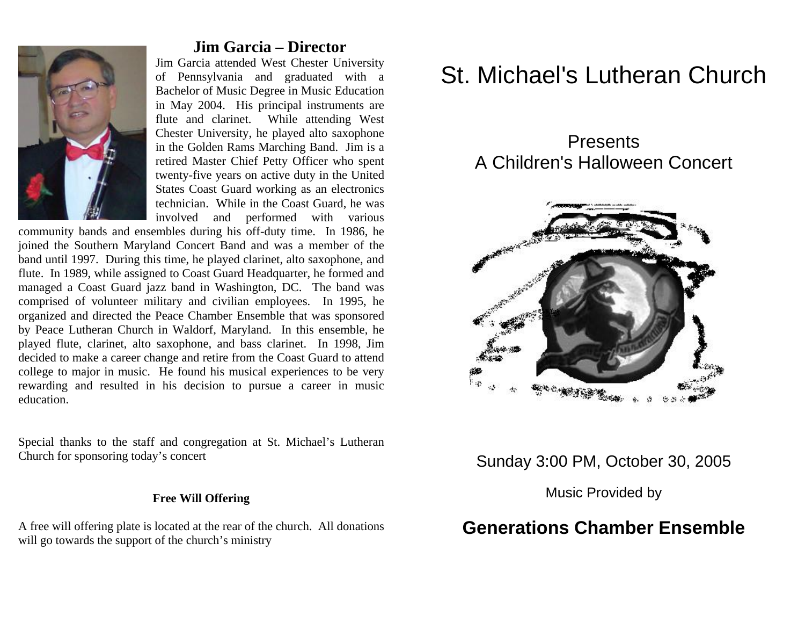

### **Jim Garcia – Director**

Jim Garcia attended West Chester University of Pennsylvania and graduated with a Bachelor of Music Degree in Music Education in May 2004. His principal instruments are flute and clarinet. While attending West Chester University, he played alto saxophone in the Golden Rams Marching Band. Jim is a retired Master Chief Petty Officer who spent twenty-five years on active duty in the United States Coast Guard working as an electronics technician. While in the Coast Guard, he was involved and performed with various

community bands and ensembles during his off-duty time. In 1986, he joined the Southern Maryland Concert Band and was a member of the band until 1997. During this time, he played clarinet, alto saxophone, and flute. In 1989, while assigned to Coast Guard Headquarter, he formed and managed a Coast Guard jazz band in Washington, DC. The band was comprised of volunteer military and civilian employees. In 1995, he organized and directed the Peace Chamber Ensemble that was sponsored by Peace Lutheran Church in Waldorf, Maryland. In this ensemble, he played flute, clarinet, alto saxophone, and bass clarinet. In 1998, Jim decided to make a career change and retire from the Coast Guard to attend college to major in music. He found his musical experiences to be very rewarding and resulted in his decision to pursue a career in music education.

Special thanks to the staff and congregation at St. Michael's Lutheran Church for sponsoring today's concert

#### **Free Will Offering**

A free will offering plate is located at the rear of the church. All donations will go towards the support of the church's ministry

# St. Michael's Lutheran Church

# **Presents** A Children's Halloween Concert



## Sunday 3:00 PM, October 30, 2005

Music Provided by

# **Generations Chamber Ensemble**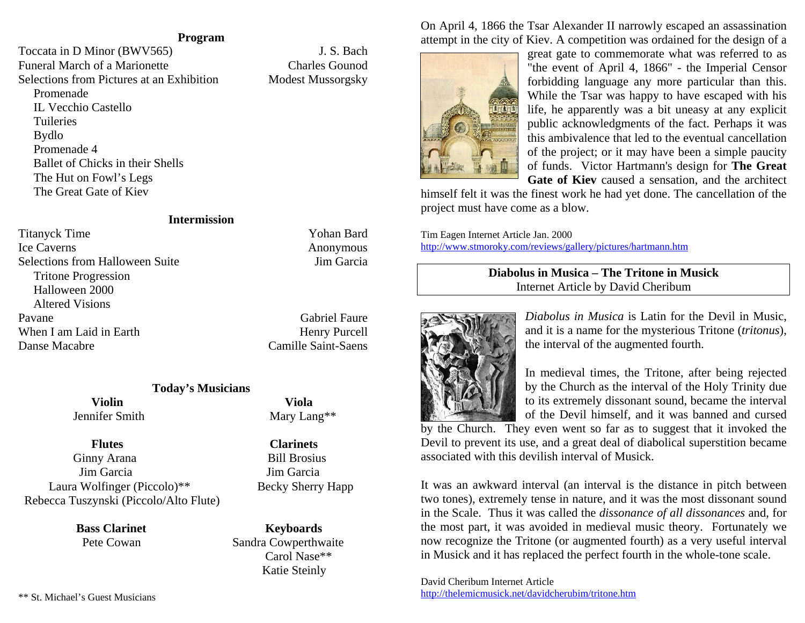#### **Program**

Toccata in D Minor (BWV565) J. S. Bach Funeral March of a Marionette Charles Gounod Selections from Pictures at an Exhibition Modest Mussorgsky

 Promenade IL Vecchio Castello **Tuileries**  Bydlo Promenade 4 Ballet of Chicks in their Shells The Hut on Fowl's Legs The Great Gate of Kiev

#### **Intermission**

Titanyck Time Yohan Bard Ice Caverns Anonymous Selections from Halloween Suite Jim Garcia Tritone Progression Halloween 2000 Altered Visions Pavane Gabriel Faure When I am Laid in Earth Henry Purcell Danse Macabre Camille Saint-Saens

#### **Today's Musicians**

 **Violin Viola** Jennifer Smith Mary Lang\*\*

 **Flutes Clarinets** Ginny Arana Bill Brosius Jim Garcia Jim Garcia Laura Wolfinger (Piccolo)\*\* Becky Sherry Happ Rebecca Tuszynski (Piccolo/Alto Flute)

> **Bass Clarinet Keyboards** Pete Cowan Sandra Cowperthwaite

On April 4, 1866 the Tsar Alexander II narrowly escaped an assassination attempt in the city of Kiev. A competition was ordained for the design of a



great gate to commemorate what was referred to as "the event of April 4, 1866" - the Imperial Censor forbidding language any more particular than this. While the Tsar was happy to have escaped with his life, he apparently was a bit uneasy at any explicit public acknowledgments of the fact. Perhaps it was this ambivalence that led to the eventual cancellation of the project; or it may have been a simple paucity of funds. Victor Hartmann's design for **The Great Gate of Kiev** caused a sensation, and the architect

himself felt it was the finest work he had yet done. The cancellation of the project must have come as a blow.

Tim Eagen Internet Article Jan. 2000 http://www.stmoroky.com/reviews/gallery/pictures/hartmann.htm

#### **Diabolus in Musica – The Tritone in Musick** Internet Article by David Cheribum



*Diabolus in Musica* is Latin for the Devil in Music, and it is a name for the mysterious Tritone (*tritonus*), the interval of the augmented fourth.

In medieval times, the Tritone, after being rejected by the Church as the interval of the Holy Trinity due to its extremely dissonant sound, became the interval of the Devil himself, and it was banned and cursed

by the Church. They even went so far as to suggest that it invoked the Devil to prevent its use, and a great deal of diabolical superstition became associated with this devilish interval of Musick.

It was an awkward interval (an interval is the distance in pitch between two tones), extremely tense in nature, and it was the most dissonant sound in the Scale. Thus it was called the *dissonance of all dissonances* and, for the most part, it was avoided in medieval music theory. Fortunately we now recognize the Tritone (or augmented fourth) as a very useful interval in Musick and it has replaced the perfect fourth in the whole-tone scale.

David Cheribum Internet Article http://thelemicmusick.net/davidcherubim/tritone.htm

\*\* St. Michael's Guest Musicians